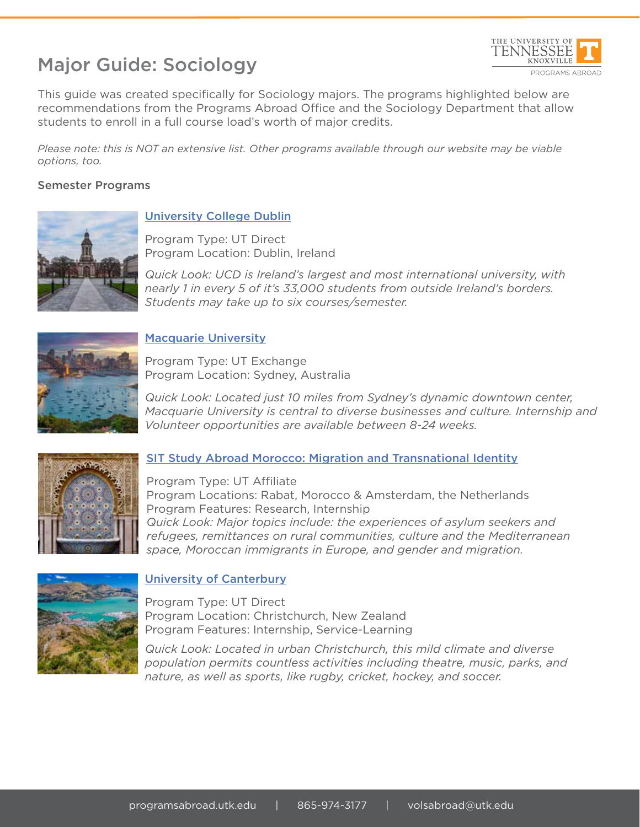# Major Guide: Sociology



This guide was created specifically for Sociology majors. The programs highlighted below are recommendations from the Programs Abroad Office and the Sociology Department that allow students to enroll in a full course load's worth of major credits.

*Please note: this is NOT an extensive list. Other programs available through our website may be viable options, too.*

### Semester Programs



## University College Dublin

Program Type: UT Direct Program Location: Dublin, Ireland

*Quick Look: UCD is Ireland's largest and most international university, with nearly 1 in every 5 of it's 33,000 students from outside Ireland's borders. Students may take up to six courses/semester.*



## Macquarie University

Program Type: UT Exchange Program Location: Sydney, Australia

*Quick Look: Located just 10 miles from Sydney's dynamic downtown center, Macquarie University is central to diverse businesses and culture. Internship and Volunteer opportunities are available between 8-24 weeks.* 



## SIT Study Abroad Morocco: Migration and Transnational Identity

Program Type: UT Affiliate Program Locations: Rabat, Morocco & Amsterdam, the Netherlands Program Features: Research, Internship *Quick Look: Major topics include: the experiences of asylum seekers and refugees, remittances on rural communities, culture and the Mediterranean space, Moroccan immigrants in Europe, and gender and migration.*



#### University of Canterbury

Program Type: UT Direct Program Location: Christchurch, New Zealand Program Features: Internship, Service-Learning

*Quick Look: Located in urban Christchurch, this mild climate and diverse population permits countless activities including theatre, music, parks, and nature, as well as sports, like rugby, cricket, hockey, and soccer.*